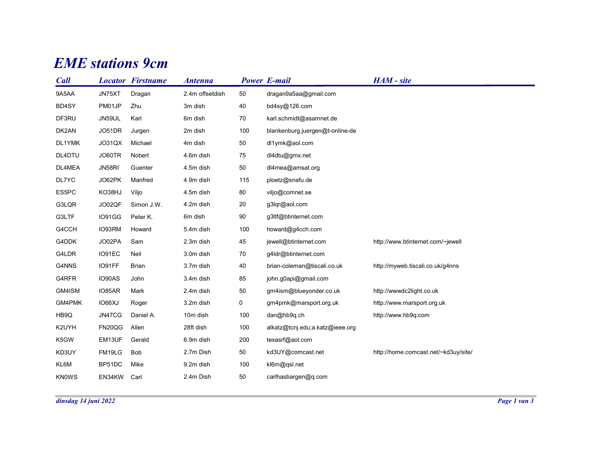## **EME** stations 9cm

|             |        | <b>EME</b> stations 9cm  |                 |             |                                 |                                      |
|-------------|--------|--------------------------|-----------------|-------------|---------------------------------|--------------------------------------|
| <b>Call</b> |        | <b>Locator Firstname</b> | <b>Antenna</b>  |             | <b>Power E-mail</b>             | HAM - site                           |
| 9A5AA       | JN75XT | Dragan                   | 2.4m offsetdish | 50          | dragan9a5aa@gmail.com           |                                      |
| BD4SY       | PM01JP | Zhu                      | 3m dish         | 40          | bd4sy@126.com                   |                                      |
| DF3RU       | JN59UL | Karl                     | 6m dish         | 70          | karl.schmidt@asamnet.de         |                                      |
| DK2AN       | JO51DR | Jurgen                   | 2m dish         | 100         | blankenburg.juergen@t-online-de |                                      |
| DL1YMK      | JO31QX | Michael                  | 4m dish         | 50          | dl1ymk@aol.com                  |                                      |
| DL4DTU      | JO60TR | Nobert                   | 4.6m dish       | 75          | dl4dtu@gmx.net                  |                                      |
| DL4MEA      | JN58RI | Guenter                  | 4.5m dish       | 50          | dl4mea@amsat.org                |                                      |
| DL7YC       | JO62PK | Manfred                  | 4.9m dish       | 115         | ploetz@snafu.de                 |                                      |
| ES5PC       | KO38HJ | Viljo                    | 4.5m dish       | 80          | viljo@comnet.se                 |                                      |
| G3LQR       | JO02QF | Simon J.W.               | 4.2m dish       | 20          | g3lqr@aol.com                   |                                      |
| G3LTF       | IO91GG | Peter K.                 | 6m dish         | $90\,$      | g3ltf@btinternet.com            |                                      |
| G4CCH       | IO93RM | Howard                   | 5.4m dish       | 100         | howard@g4cch.com                |                                      |
| G4DDK       | JO02PA | Sam                      | 2.3m dish       | 45          | jewell@btinternet.com           | http://www.btinternet.com/~jewell    |
| G4LDR       | IO91EC | Neil                     | 3.0m dish       | 70          | g4ldr@btinternet.com            |                                      |
| G4NNS       | IO91FF | Brian                    | 3.7m dish       | 40          | brian-coleman@tiscali.co.uk     | http://myweb.tiscali.co.uk/g4nns     |
| G4RFR       | IO90AS | John                     | 3.4m dish       | 85          | john.g0api@gmail.com            |                                      |
| GM4ISM      | IO85AR | Mark                     | 2.4m dish       | $50\,$      | gm4ism@blueyonder.co.uk         | http://wwwdc2light.co.uk             |
| GM4PMK      | IO66XJ | Roger                    | 3.2m dish       | $\mathbf 0$ | gm4pmk@marsport.org.uk          | http://www.marsport.org.uk           |
| HB9Q        | JN47CG | Daniel A.                | 10m dish        | 100         | dan@hb9q.ch                     | http://www.hb9q.com                  |
| K2UYH       | FN20QG | Allen                    | 28ft dish       | 100         | alkatz@tcnj.edu;a.katz@ieee.org |                                      |
| K5GW        | EM13UF | Gerald                   | 6.9m dish       | 200         | texasrf@aol.com                 |                                      |
| KD3UY       | FM19LG | Bob                      | 2.7m Dish       | 50          | kd3UY@comcast.net               | http://home.comcast.net/~kd3uy/site/ |
| KL6M        | BP51DC | Mike                     | 9.2m dish       | 100         | kl6m@qsl.net                    |                                      |
|             |        |                          |                 |             |                                 |                                      |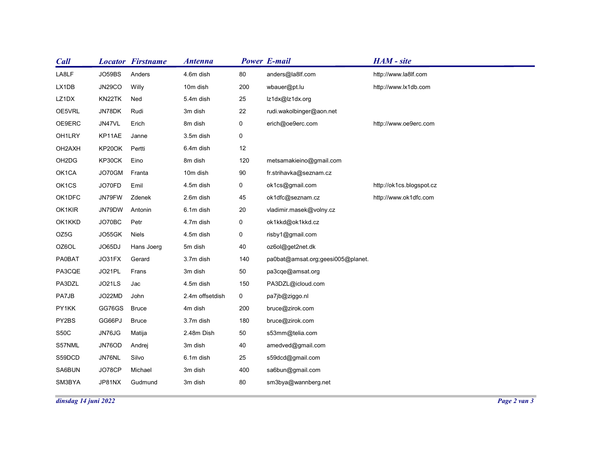| <b>Call</b>                    |                  | <b>Locator Firstname</b> | <b>Antenna</b>       |                | <b>Power E-mail</b>                  | HAM - site               |              |
|--------------------------------|------------------|--------------------------|----------------------|----------------|--------------------------------------|--------------------------|--------------|
| LA8LF                          | JO59BS           | Anders                   | 4.6m dish            | $80\,$         | anders@la8lf.com                     | http://www.la8lf.com     |              |
| LX1DB                          | <b>JN29CO</b>    | Willy                    | 10m dish             | 200            | wbauer@pt.lu                         | http://www.lx1db.com     |              |
| LZ1DX                          | KN22TK           | Ned                      | 5.4m dish            | 25             | lz1dx@lz1dx.org                      |                          |              |
| OE5VRL                         | JN78DK           | Rudi                     | 3m dish              | 22             | rudi.wakolbinger@aon.net             |                          |              |
| OE9ERC                         | JN47VL           | Erich                    | 8m dish              | 0              | erich@oe9erc.com                     | http://www.oe9erc.com    |              |
| OH1LRY                         | KP11AE           | Janne                    | 3.5m dish            | $\mathbf 0$    |                                      |                          |              |
| OH2AXH                         | KP20OK           | Pertti                   | 6.4m dish            | $12$           |                                      |                          |              |
| OH <sub>2</sub> D <sub>G</sub> | KP30CK           | Eino                     | 8m dish              | 120            | metsamakieino@gmail.com              |                          |              |
| OK1CA                          | JO70GM           | Franta                   | 10m dish             | 90             | fr.strihavka@seznam.cz               |                          |              |
| OK1CS                          | JO70FD           | Emil                     | 4.5m dish            | $\mathbf 0$    | ok1cs@gmail.com                      | http://ok1cs.blogspot.cz |              |
| OK1DFC                         | JN79FW           | Zdenek                   | 2.6m dish            | 45             | ok1dfc@seznam.cz                     | http://www.ok1dfc.com    |              |
| OK1KIR                         | JN79DW           | Antonin                  | 6.1m dish            | 20             | vladimir.masek@volny.cz              |                          |              |
| OK1KKD                         | JO70BC           | Petr                     | 4.7m dish            | $\mathbf 0$    | ok1kkd@ok1kkd.cz                     |                          |              |
| OZ5G                           | JO55GK           | Niels                    | 4.5m dish            | $\mathbf 0$    | risby1@gmail.com<br>oz6ol@get2net.dk |                          |              |
| OZ6OL<br><b>PA0BAT</b>         | JO65DJ<br>JO31FX | Hans Joerg<br>Gerard     | 5m dish<br>3.7m dish | 40<br>140      | pa0bat@amsat.org;geesi005@planet.    |                          |              |
| PA3CQE                         | JO21PL           | Frans                    | 3m dish              | 50             | pa3cqe@amsat.org                     |                          |              |
| PA3DZL                         | JO21LS           | Jac                      | 4.5m dish            | 150            | PA3DZL@icloud.com                    |                          |              |
| PA7JB                          | JO22MD           | John                     | 2.4m offsetdish      | $\overline{0}$ | pa7jb@ziggo.nl                       |                          |              |
| PY1KK                          | GG76GS Bruce     |                          | 4m dish              | 200            | bruce@zirok.com                      |                          |              |
| PY2BS                          | GG66PJ           | <b>Bruce</b>             | 3.7m dish            | 180            | bruce@zirok.com                      |                          |              |
| S50C                           | JN76JG           | Matija                   | 2.48m Dish           | 50             | s53mm@telia.com                      |                          |              |
| S57NML                         | JN76OD           | Andrej                   | 3m dish              | 40             | amedved@gmail.com                    |                          |              |
| S59DCD                         | JN76NL           | Silvo                    | 6.1m dish            | 25             | s59dcd@gmail.com                     |                          |              |
| SA6BUN                         | JO78CP           | Michael                  | 3m dish              | 400            | sa6bun@gmail.com                     |                          |              |
| SM3BYA                         | JP81NX           | Gudmund                  | 3m dish              | $80\,$         | sm3bya@wannberg.net                  |                          |              |
|                                |                  |                          |                      |                |                                      |                          | Page 2 van 3 |
| dinsdag 14 juni 2022           |                  |                          |                      |                |                                      |                          |              |